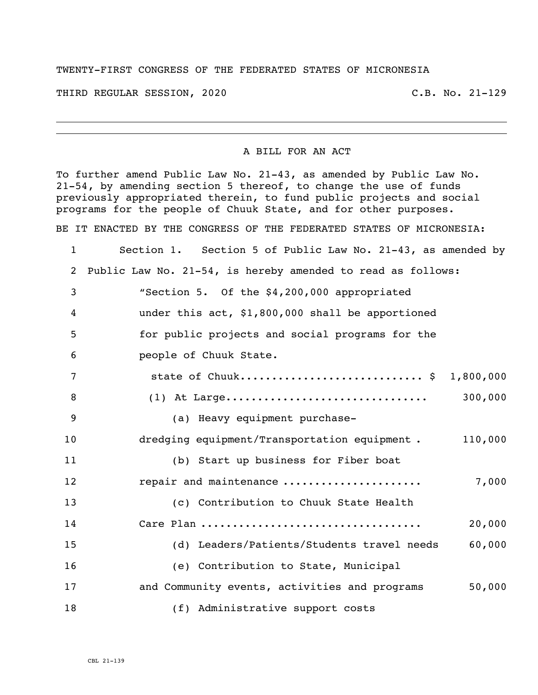## TWENTY-FIRST CONGRESS OF THE FEDERATED STATES OF MICRONESIA

THIRD REGULAR SESSION, 2020 C.B. No. 21-129

## A BILL FOR AN ACT

To further amend Public Law No. 21-43, as amended by Public Law No. 21-54, by amending section 5 thereof, to change the use of funds previously appropriated therein, to fund public projects and social programs for the people of Chuuk State, and for other purposes. BE IT ENACTED BY THE CONGRESS OF THE FEDERATED STATES OF MICRONESIA: Section 1. Section 5 of Public Law No. 21-43, as amended by Public Law No. 21-54, is hereby amended to read as follows: "Section 5. Of the \$4,200,000 appropriated under this act, \$1,800,000 shall be apportioned for public projects and social programs for the people of Chuuk State. 7 state of Chuuk.................................\$ 1,800,000 (1) At Large................................ 300,000 (a) Heavy equipment purchase- dredging equipment/Transportation equipment . 110,000 (b) Start up business for Fiber boat repair and maintenance ...................... 7,000 (c) Contribution to Chuuk State Health Care Plan ................................... 20,000 (d) Leaders/Patients/Students travel needs 60,000 (e) Contribution to State, Municipal 17 and Community events, activities and programs 50,000 (f) Administrative support costs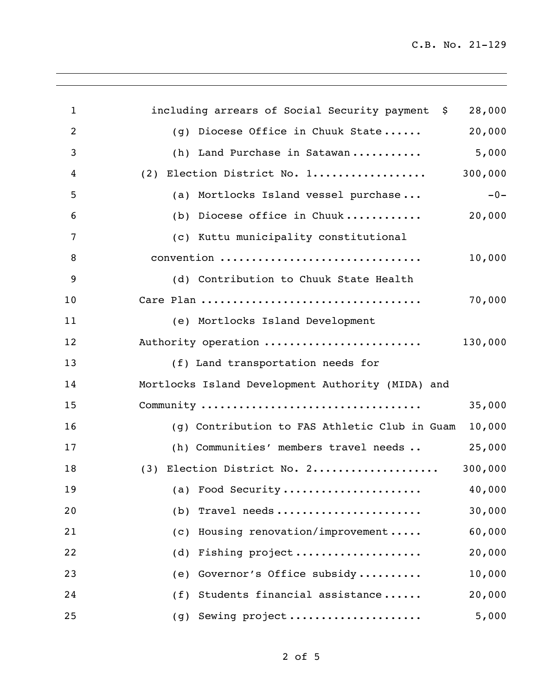| 1              | including arrears of Social Security payment \$   | 28,000  |
|----------------|---------------------------------------------------|---------|
| $\overline{2}$ | (g) Diocese Office in Chuuk State                 | 20,000  |
| $\overline{3}$ | (h) Land Purchase in Satawan                      | 5,000   |
| 4              | Election District No. 1<br>(2)                    | 300,000 |
| 5              | (a) Mortlocks Island vessel purchase              | $-0-$   |
| 6              | (b) Diocese office in Chuuk                       | 20,000  |
| $\overline{7}$ | (c) Kuttu municipality constitutional             |         |
| 8              | convention                                        | 10,000  |
| 9              | (d) Contribution to Chuuk State Health            |         |
| 10             |                                                   | 70,000  |
| 11             | (e) Mortlocks Island Development                  |         |
| 12             | Authority operation                               | 130,000 |
| 13             | (f) Land transportation needs for                 |         |
| 14             | Mortlocks Island Development Authority (MIDA) and |         |
| 15             | Community                                         | 35,000  |
| 16             | (g) Contribution to FAS Athletic Club in Guam     | 10,000  |
| 17             | (h) Communities' members travel needs             | 25,000  |
| 18             | Election District No. 2<br>(3)                    | 300,000 |
| 19             | (a) Food Security                                 | 40,000  |
| 20             | (b) Travel needs                                  | 30,000  |
| 21             | (c) Housing renovation/improvement                | 60,000  |
| 22             | (d) Fishing project                               | 20,000  |
| 23             | (e) Governor's Office subsidy                     | 10,000  |
| 24             | (f) Students financial assistance                 | 20,000  |
| 25             | (g) Sewing project                                | 5,000   |
|                |                                                   |         |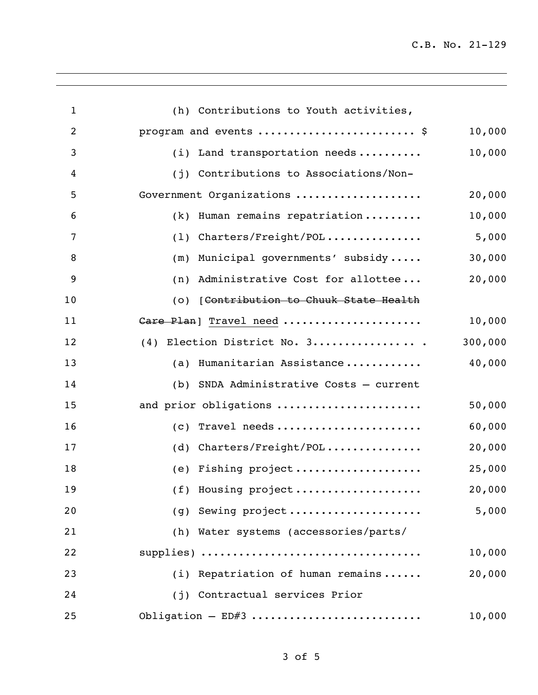| $\mathbf{1}$   | (h) Contributions to Youth activities,  |         |
|----------------|-----------------------------------------|---------|
| $\overline{2}$ | program and events  \$                  | 10,000  |
| 3              | $(i)$ Land transportation needs         | 10,000  |
| 4              | (j) Contributions to Associations/Non-  |         |
| 5              | Government Organizations                | 20,000  |
| 6              | Human remains repatriation<br>(k)       | 10,000  |
| 7              | Charters/Freight/POL<br>(1)             | 5,000   |
| 8              | Municipal governments' subsidy<br>(m)   | 30,000  |
| 9              | Administrative Cost for allottee<br>(n) | 20,000  |
| 10             | (o) [Contribution to Chuuk State Health |         |
| 11             | Care Plan] Travel need                  | 10,000  |
| 12             | Election District No. 3<br>(4)          | 300,000 |
| 13             | Humanitarian Assistance<br>(a)          | 40,000  |
| 14             | (b) SNDA Administrative Costs - current |         |
| 15             | and prior obligations                   | 50,000  |
| 16             | Travel needs<br>(c)                     | 60,000  |
| 17             | Charters/Freight/POL<br>(d)             | 20,000  |
| 18             | Fishing project<br>(e)                  | 25,000  |
| 19             | (f) Housing project                     | 20,000  |
| 20             | $(g)$ Sewing project                    | 5,000   |
| 21             | (h) Water systems (accessories/parts/   |         |
| 22             | supplies)                               | 10,000  |
| 23             | (i) Repatriation of human remains       | 20,000  |
| 24             | (i) Contractual services Prior          |         |
| 25             | Obligation $-$ ED#3                     | 10,000  |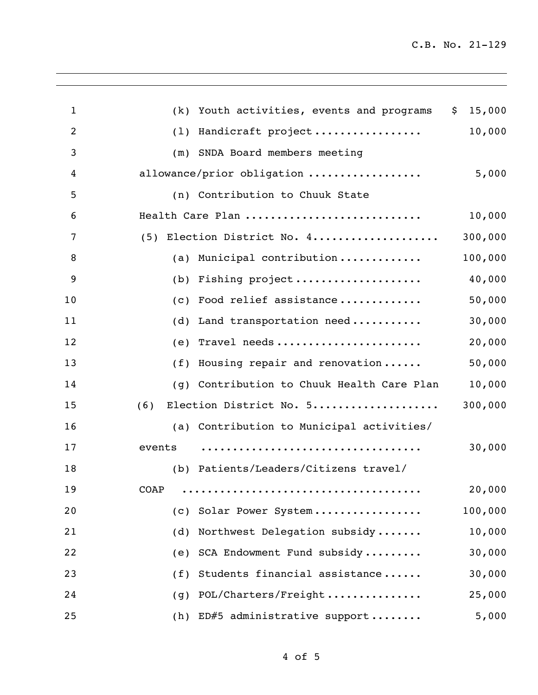| $\mathbf{1}$   | (k)    | Youth activities, events and programs     | \$<br>15,000 |
|----------------|--------|-------------------------------------------|--------------|
| $\overline{2}$ | (1)    | Handicraft project                        | 10,000       |
| 3              | (m)    | SNDA Board members meeting                |              |
| 4              |        | allowance/prior obligation                | 5,000        |
| 5              |        | (n) Contribution to Chuuk State           |              |
| 6              |        | Health Care Plan                          | 10,000       |
| 7              | (5)    | Election District No. 4                   | 300,000      |
| 8              | (a)    | Municipal contribution                    | 100,000      |
| 9              | (b)    | Fishing project                           | 40,000       |
| 10             | (c)    | Food relief assistance                    | 50,000       |
| 11             | (d)    | Land transportation need                  | 30,000       |
| 12             | (e)    | Travel needs                              | 20,000       |
| 13             | (f)    | Housing repair and renovation             | 50,000       |
| 14             | (g)    | Contribution to Chuuk Health Care Plan    | 10,000       |
| 15             | (6)    | Election District No. 5                   | 300,000      |
| 16             |        | (a) Contribution to Municipal activities/ |              |
| 17             | events |                                           | 30,000       |
| 18             | (b)    | Patients/Leaders/Citizens travel/         |              |
| 19             | COAP   |                                           | 20,000       |
| 20             | (C)    | Solar Power System                        | 100,000      |
| 21             | (d)    | Northwest Delegation subsidy              | 10,000       |
| 22             | (e)    | SCA Endowment Fund subsidy                | 30,000       |
| 23             | (f)    | Students financial assistance             | 30,000       |
| 24             | (g)    | POL/Charters/Freight                      | 25,000       |
| 25             | (h)    | ED#5 administrative support               | 5,000        |
|                |        |                                           |              |